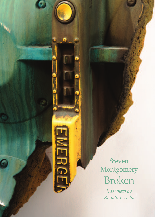Steven **Montgomery** Broken

*Interview by Ronald Kutcha*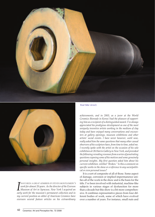



*I early**EEEN A GKEAT ADMIKER OF SIEVEN MONTGOMERY*<br> *Work for almost 20 years. As the director of the Everson*<br> *Museum of Art in Syracuse, New York I acquired and and in*<br> *early work for the museum's permanent col HAVE BEEN A GREAT ADMIRER OF STEVEN MONTGOMERY'S work for almost 20 years. As the director of the Everson Museum of Art in Syracuse, New York I acquired an my current position as editor of American Ceramics have overseen several feature articles on his extraordinary*

*Test Site (detail).*

*achievements, and in 2003, as a juror at the World Ceramics Biennale in Korea I had the pleasure of supporting him as a recipient of a distinguished award. I've always appreciated his prodigious development as one of the most uniquely inventive artists working in the medium of clay today and have enjoyed many conversations and encounters at gallery openings, museum exhibitions and other artists' social events. I have never however, until now, really asked him thesame questionsthat many other casual observers of hissculpture have, from timeto time, asked me. I recently spoke with the artist on the occasion of his solo exhibition at Ok Harris Gallery in New York, and provoked thefollowing revealing resonsesfroma series of penetrating questionsexposing some of his motives and some genuinely personal insights. My first question asked him about his currentexhibition entitled "Broken." Isthis a comment on specific works in the show or a reference to any socio/political oreven personal issues?*

It is a sort of composite of all of those. Some aspect of damage, corrosion or implied impermanence unifies all of the work in the show and is the basis for the title. I've been involved with industrial, machine-like subjects in various stages of dysfunction for more than a decade but this show is a bit more comprehensive. It combines representative pieces from four different bodies of work, some of which have evolved over a number of years. For instance, small nuts and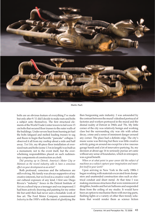

*Static Fuel.*

bolts are an obvious feature of everything I've made but only after 9/11 did I decide to make nuts and bolts a subject unto themselves. The first structural elements of the World Trade Center towers to fail were 15 cm bolts that secured floor trusses to the outer walls of the buildings. Under severe heat from burning jet fuel the bolts fatigued and melted leading trusses to sag and floors to begin that horrific "pancake" collapse. I observed it all from my rooftop about a mile and half away. *Test Site,* my 40-piece floor installation of oversized nuts and bolts (some 1.5 m in length) was built as a monument, not to the event itself, but the overwhelming responsibilities placed on such rudimentary components of construction as a bolt.

*Did growing up in Detroit, America's Motor City or Motown as the record industry calls it, have a conscious effect on your development as an artist?*

Both profound, conscious and the influences are still evolving.My family was always supportive of my creative interests, but we lived in a creative void without cultural exposure of any kind. I first saw Diego Rivera's "industry" fresco in the Detroit Institute of Art on a school trip as a teenager and was impressed. I had been actively drawing and painting for my entire life but until then had never seen a bonafide work of fine art. The Ford Motor Company commissioned *Industry* in the 1930's with the intent of glorifying the

then burgeoning auto industry. I was astounded by the contrast between the mural's idealised portrayal of factories and workers portrayed in the mural and the dismal reality of Detroit in 1960s and '70s. My little corner of the city was relatively benign and working class but the surrounding city was rife with urban decay, crime and a sense of imminent danger around any corner. The place had a definite edge. The city's music scene was thriving but there was little creative activity going on around me except for a few raucous garage bands and a lot of innovative partying. So, my decision at about age 16 to seriously pursue art came without any sense of boundaries, which in retrospect, was a great benefit.

*When or at what point in your career did the subject of machines as a subject capture your imagination and manifest itself in your work?*

Upon arriving in New York in the early 1980s I began working with materials excavated from dumpsters and unattended construction sites such as electrical conduit and sheet metal. At that time I was making enormous structures that were reminiscent of dirigibles, bombs and hot air balloons and suspended them from the ceiling of my studio. It would have been an option to mechanise them with moving parts, flashing lights or a variety of other then trendy solutions that would render them as science fiction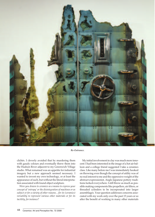

*Re-Entrance.*

clichés. I cleverly avoided that by murdering them with gaudy colours and eventually threw them into the Hudson River adjacent to my Greenwich Village studio. What remained was an appetite for industrial imagery but a new approach seemed necessary. I wanted to invent my own technology, or at least the appearance of such, but without the literal interpretation associated with found object sculpture.

*Were you drawn to ceramics as a means to express your concept of 'entropy' or the disintegration of machines or as subject or for a variety of other reasons…for its (ceramics) versatility to represent various other materials or for its tactility, forinstance?*

My initial involvement in clay was much more innocent: I had been interested in the image of a hot air balloon and a college friend suggested I take a ceramics class. Like many before me I was immediately hooked on throwing even though the concept of utility was of no real interest to me and the oppressive weight of the abstract-expressionist, Anglo Japanese pottery traditions lurked everywhere. I still throw as much as possible making components like propellers, air filters, or threaded cylinders to be incorporated into larger assemblages. Your question addresses concerns associated with my work only over the past 15 years or so after the benefit of working in many other materials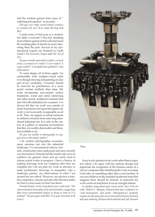and the wisdom gained from years of " suffering and injustice" as an artist.

*Did you ever make vessel-related ceramics or ceramics for use? If so, what did they look like?*

I made many of bad pots as a student, but didn't everyone? I had fun smashing most of them against a brick wall and found the resulting piles of shards far more interesting than the pots. Several of my dysfunctional teapots are featured in Garth Clark's *The Eccentric Teapot* and *The Art of Tea*.

*Do you consider yourself a sculptor, a visual artist, a ceramist or a realist? A sur-realist? A super-realist? A metaphorical symbolist? Any of the above?*

To some degree all of those apply. I'm comfortable with sculptor/visual artist even though drawing and painting are also part of my vocabulary. 'Ceramist' should be reserved for practitioners of a more purist ceramic aesthetic than mine. My work incorporates non-ceramic surface treatments, wood and metal reinforcing and other purely sculptural solutions that don't fit in the definition of a 'ceramist'. I've always felt that my work was outside of many boundaries and upon first glance my work is not necessarily recognisable as art at all. They can appear as actual remnants or artifacts extracted from some long abandoned industrial site. It is only in the context of a gallery or museum environment that they are readily discernable and therefore readable as art.

*Do you use models or photographs to suggest new or old subject matter?*

I do conduct photographic reconnaissance missions out into the industrial landscape. I've documented subway tun-

nels, construction sites, junkyards and most recently war museums in Vietnam but the results only serve to reinforce my general vision and are rarely used to inform actual works in progress. I have a history of making drawings from my sculpture after they are complete but I do not plan my work in advance or make preliminary drawings or maquettes. Like a landscape painter, my observations of what I see around me are critical. However, my process is intuitive, impulsive, chaotic and only after the dust settles do I have a clear sense of what I am about.

*Donald Kuspit, in his essay about your work said, "His representationsironicallymock representation,suggesting that every representation begins to decay as soon as it is realised." Do you agree with this? Isit yourintention to be ironic?*



*Vase.*

Irony is a by-product of my work rather than a cognitive intent. I do agree with his analysis though and appreciate his recognition of the tenuous nature of a viewer's response afteridentifying the work as trompe l'oeil, fake, or something other than a real machine. If you are a believer in the outdated modernist tenet that suggests there should be honesty in materials my work can be an anticlimax if not an outright offense.

*In another essay about your recent work, New York art critic, Robert C. Morgan, characterised your sculptures as "anti monuments" and wrote: "Montgomery's synthetic engines arethestory of an era in transition between industry and post-industry, between hard material and soft, between*